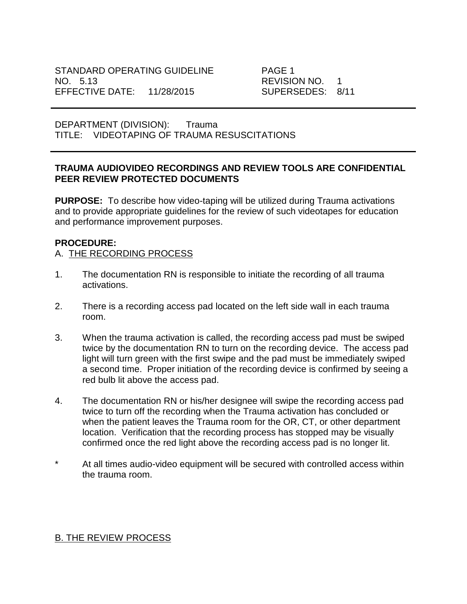DEPARTMENT (DIVISION): Trauma TITLE: VIDEOTAPING OF TRAUMA RESUSCITATIONS

## **TRAUMA AUDIOVIDEO RECORDINGS AND REVIEW TOOLS ARE CONFIDENTIAL PEER REVIEW PROTECTED DOCUMENTS**

**PURPOSE:** To describe how video-taping will be utilized during Trauma activations and to provide appropriate guidelines for the review of such videotapes for education and performance improvement purposes.

## **PROCEDURE:**

## A. THE RECORDING PROCESS

- 1. The documentation RN is responsible to initiate the recording of all trauma activations.
- 2. There is a recording access pad located on the left side wall in each trauma room.
- 3. When the trauma activation is called, the recording access pad must be swiped twice by the documentation RN to turn on the recording device. The access pad light will turn green with the first swipe and the pad must be immediately swiped a second time. Proper initiation of the recording device is confirmed by seeing a red bulb lit above the access pad.
- 4. The documentation RN or his/her designee will swipe the recording access pad twice to turn off the recording when the Trauma activation has concluded or when the patient leaves the Trauma room for the OR, CT, or other department location. Verification that the recording process has stopped may be visually confirmed once the red light above the recording access pad is no longer lit.
- \* At all times audio-video equipment will be secured with controlled access within the trauma room.

## B. THE REVIEW PROCESS